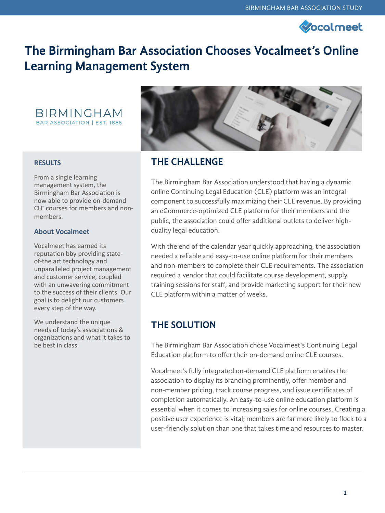

# **The Birmingham Bar Association Chooses Vocalmeet's Online Learning Management System**



#### **RESULTS**

From a single learning management system, the Birmingham Bar Association is now able to provide on-demand CLE courses for members and nonmembers.

#### **About Vocalmeet**

Vocalmeet has earned its reputation bby providing stateof-the art technology and unparalleled project management and customer service, coupled with an unwavering commitment to the success of their clients. Our goal is to delight our customers every step of the way.

We understand the unique needs of today's associations & organizations and what it takes to be best in class.



### **THE CHALLENGE**

The Birmingham Bar Association understood that having a dynamic online Continuing Legal Education (CLE) platform was an integral component to successfully maximizing their CLE revenue. By providing an eCommerce-optimized CLE platform for their members and the public, the association could offer additional outlets to deliver highquality legal education.

With the end of the calendar year quickly approaching, the association needed a reliable and easy-to-use online platform for their members and non-members to complete their CLE requirements. The association required a vendor that could facilitate course development, supply training sessions for staff, and provide marketing support for their new CLE platform within a matter of weeks.

### **THE SOLUTION**

The Birmingham Bar Association chose Vocalmeet's Continuing Legal Education platform to offer their on-demand online CLE courses.

Vocalmeet's fully integrated on-demand CLE platform enables the association to display its branding prominently, offer member and non-member pricing, track course progress, and issue certificates of completion automatically. An easy-to-use online education platform is essential when it comes to increasing sales for online courses. Creating a positive user experience is vital; members are far more likely to flock to a user-friendly solution than one that takes time and resources to master.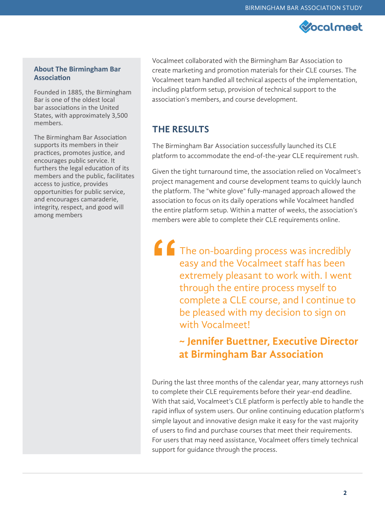

#### **About The Birmingham Bar Association**

Founded in 1885, the Birmingham Bar is one of the oldest local bar associations in the United States, with approximately 3,500 members.

The Birmingham Bar Association supports its members in their practices, promotes justice, and encourages public service. It furthers the legal education of its members and the public, facilitates access to justice, provides opportunities for public service, and encourages camaraderie, integrity, respect, and good will among members

Vocalmeet collaborated with the Birmingham Bar Association to create marketing and promotion materials for their CLE courses. The Vocalmeet team handled all technical aspects of the implementation, including platform setup, provision of technical support to the association's members, and course development.

## **THE RESULTS**

The Birmingham Bar Association successfully launched its CLE platform to accommodate the end-of-the-year CLE requirement rush.

Given the tight turnaround time, the association relied on Vocalmeet's project management and course development teams to quickly launch the platform. The "white glove" fully-managed approach allowed the association to focus on its daily operations while Vocalmeet handled the entire platform setup. Within a matter of weeks, the association's members were able to complete their CLE requirements online.

The on-boarding process was incredibly easy and the Vocalmeet staff has been extremely pleasant to work with. I went through the entire process myself to complete a CLE course, and I continue to be pleased with my decision to sign on with Vocalmeet! **"**

# **~ Jennifer Buettner, Executive Director at Birmingham Bar Association**

During the last three months of the calendar year, many attorneys rush to complete their CLE requirements before their year-end deadline. With that said, Vocalmeet's CLE platform is perfectly able to handle the rapid influx of system users. Our online continuing education platform's simple layout and innovative design make it easy for the vast majority of users to find and purchase courses that meet their requirements. For users that may need assistance, Vocalmeet offers timely technical support for guidance through the process.